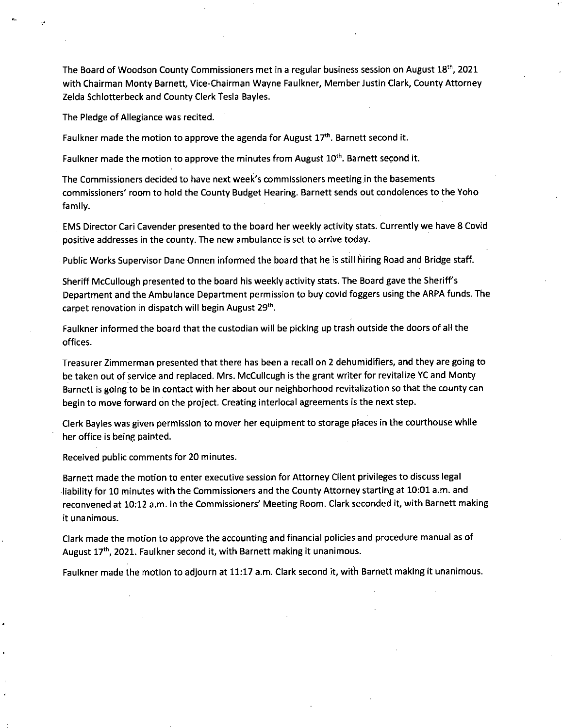The Board of Woodson County Commissioners met in a regular business session on August 18th, 2021 with Chairman Monty Barnett, Vice-Chairman Wayne Faulkner, Member Justin Clark, County Attorney Zelda Schlotterbeck and County Clerk Tesla Bayles.

The Pledge of Allegiance was recited.

Faulkner made the motion to approve the agenda for August  $17<sup>th</sup>$ . Barnett second it.

Faulkner made the motion to approve the minutes from August 10<sup>th</sup>. Barnett second it.

The Commissioners decided to have next week's commissioners meeting in the basements commissioners' room to hold the County Budget Hearing. Barnett sends out condolences to the Yoho family.

EMS Director Cari Cavender presented to the board her weekly activity stats. Currently we have 8 Covid positive addresses in the county. The new ambulance is set to arrive today.

Public Works Supervisor Dane Onnen informed the board that he is still hiring Road and Bridge staff.

Sheriff McCullough presented to the board his weekly activity stats. The Board gave the Sheriff's Department and the Ambulance Department permission to buy covid foggers using the ARPA funds. The carpet renovation in dispatch will begin August 29<sup>th</sup>.

Faulkner informed the board that the custodian will be picking up trash outside the doors of all the offices.

Treasurer Zimmerman presented that there has been a recall on 2 dehumidifiers, and they are going to be taken out of service and replaced. Mrs. McCullcugh is the grant writer for revitalize YC and Monty Barnett is going to be in contact with her about our neighborhood revitalization so that the county can begin to move forward on the project. Creating interlocal agreements is the next step.

Clerk Bayles was given permission to mover her equipment to storage places in the courthouse while her office is being painted.

Received public comments for 20 minutes.

Barnett made the motion to enter executive session for Attorney Client privileges to discuss legal liability for 10 minutes with the Commissioners and the County Attorney starting at 10:01 a.m. and reconvened at 10:12 a.m. in the Commissioners' Meeting Room. Clark seconded it, with Barnett making it unanimous.

Clark made the motion to approve the accounting and financial policies and procedure manual as of August 17<sup>th</sup>, 2021. Faulkner second it, with Barnett making it unanimous.

Faulkner made the motion to adjourn at 11:17 a.m. Clark second it, with Barnett making it unanimous.